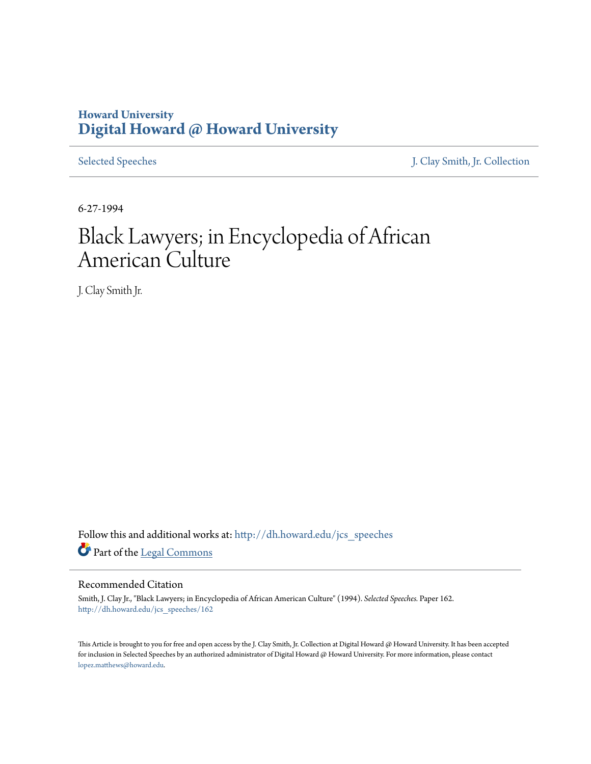## **Howard University [Digital Howard @ Howard University](http://dh.howard.edu?utm_source=dh.howard.edu%2Fjcs_speeches%2F162&utm_medium=PDF&utm_campaign=PDFCoverPages)**

[Selected Speeches](http://dh.howard.edu/jcs_speeches?utm_source=dh.howard.edu%2Fjcs_speeches%2F162&utm_medium=PDF&utm_campaign=PDFCoverPages) [J. Clay Smith, Jr. Collection](http://dh.howard.edu/jcsmith?utm_source=dh.howard.edu%2Fjcs_speeches%2F162&utm_medium=PDF&utm_campaign=PDFCoverPages)

6-27-1994

## Black Lawyers; in Encyclopedia of African American Culture

J. Clay Smith Jr.

Follow this and additional works at: [http://dh.howard.edu/jcs\\_speeches](http://dh.howard.edu/jcs_speeches?utm_source=dh.howard.edu%2Fjcs_speeches%2F162&utm_medium=PDF&utm_campaign=PDFCoverPages) Part of the [Legal Commons](http://network.bepress.com/hgg/discipline/502?utm_source=dh.howard.edu%2Fjcs_speeches%2F162&utm_medium=PDF&utm_campaign=PDFCoverPages)

## Recommended Citation

Smith, J. Clay Jr., "Black Lawyers; in Encyclopedia of African American Culture" (1994). *Selected Speeches.* Paper 162. [http://dh.howard.edu/jcs\\_speeches/162](http://dh.howard.edu/jcs_speeches/162?utm_source=dh.howard.edu%2Fjcs_speeches%2F162&utm_medium=PDF&utm_campaign=PDFCoverPages)

This Article is brought to you for free and open access by the J. Clay Smith, Jr. Collection at Digital Howard @ Howard University. It has been accepted for inclusion in Selected Speeches by an authorized administrator of Digital Howard @ Howard University. For more information, please contact [lopez.matthews@howard.edu.](mailto:lopez.matthews@howard.edu)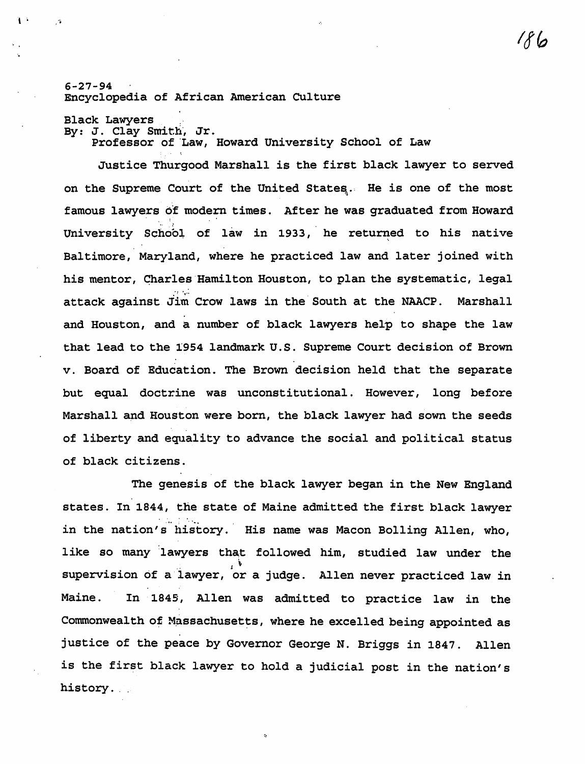6-27-94 Encyclopedia of African American CUlture

Black Lawyers<br>By: J. Clay Smith, Jr.

l  $\cdot$ ,  $\cdot$ 

Professor of 'Law, Howard University School of Law

Justice Thurgood Marshall is the first black lawyer to served on the Supreme Court of the United States. He is one of the most famous lawyers of modern times. After he was graduated from Howard .. : University School of law in 1933, he returned to his native Baltimore, Maryland, where he practiced law and later joined with his mentor, Charles Hamilton Houston, to plan the systematic, legal attack against Jim Crow laws in the South at the NAACP. Marshall and Houston, and a number of black lawyers help to shape the law that lead to the 1954 landmark U.S. Supreme Court decision of Brown v. Board of Education. The Brown decision held that the separate but equal doctrine was unconstitutional. However, long before Marshall and Houston were born, the black lawyer had sown the seeds of liberty and equality to advance the social and political status of black citizens.

The genesis of the black lawyer began in the New England states. In 1844, the state of Maine admitted the first black lawyer in the nation's history. His name was Macon Bolling Allen, who, like so many lawyers that followed him, studied law under the I ~ supervision of a lawyer, or a judge. Allen never practiced law in Maine. In 1849, Allen was admitted to practice law in the Commonwealth of Massachusetts, where he excelled being appointed as justice of the peace by Governor George N. Briggs in 1847. Allen is the first black lawyer to hold a judicial post in the nation's history.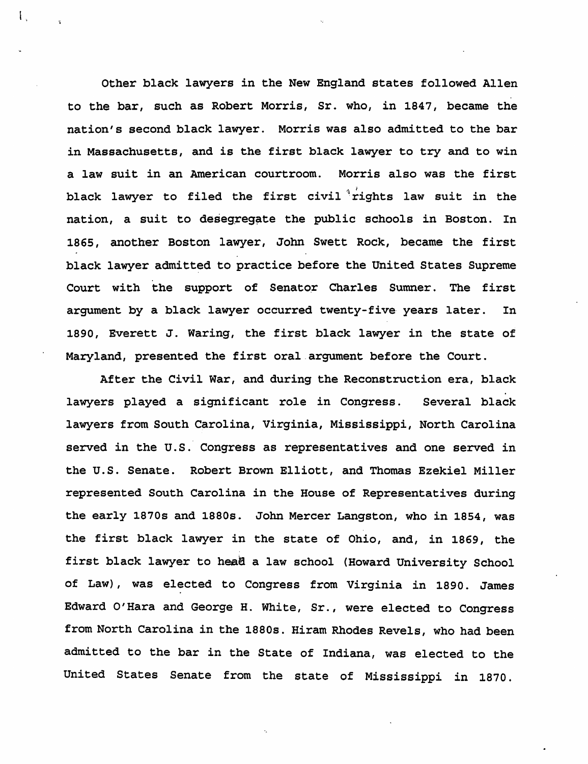Other black lawyers in the New England states followed Allen to the bar, such as Robert Morris, Sr. who, in 1847, became the nation's second black lawyer. Morris was also admitted to the bar in Massachusetts, and is the first black lawyer to try and to win a law suit in an American courtroom. Morris also was the first black lawyer to filed the first civil  $x^i$ rights law suit in the nation, a suit to desegregate the public schools in Boston. In 1865, another Boston lawyer, John Swett Rock, became the first black lawyer admitted to practice before the United States Supreme Court with the support of Senator Charles Sumner. The first argument by a black lawyer occurred twenty-five years later. In 1890, Everett J. Waring, the first black lawyer in the state of Maryland, presented the first oral.argument before the Court.

 $\mathbf{I}$ .

After the Civil War, and during the Reconstruction era, black lawyers played a significant role in Congress. Several black lawyers from South Carolina, Virginia, Mississippi, North Carolina served in the U.S. Congress as representatives and one served in the U.S. Senate. Robert Brown Elliott, and Thomas Ezekiel Miller represented South Carolina in the House of Representatives during the early 1870s and 1880s. John Mercer Langston, who in 1854, was the first black lawyer in the state of Ohio, and, in 1869, the first black lawyer to hea8 a law school (Howard University School of Law), was elected to Congress from Virginia in 1890. James Edward O'Hara and George H. White, Sr., were elected to Congress from North Carolina in the 1880s. Hiram Rhodes Revels, who had been admitted to the bar in the State of Indiana, was elected to the United States Senate from the state of Mississippi in 1870.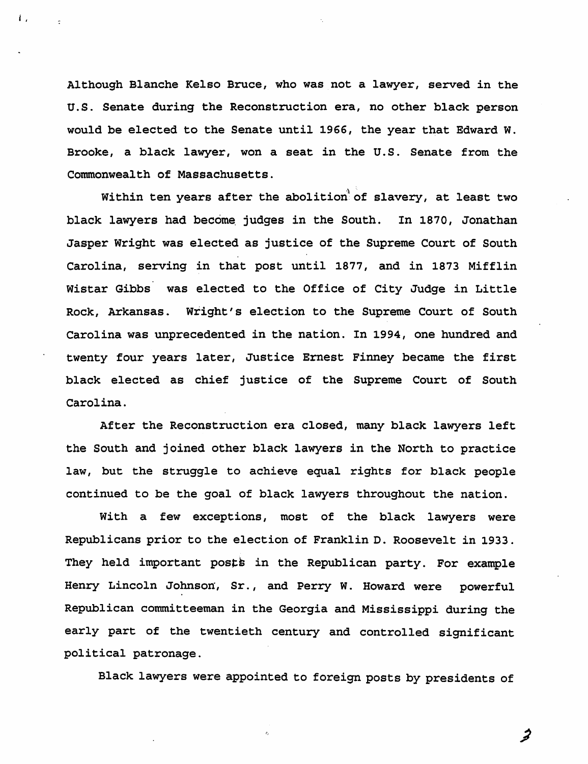Although Blanche Kelso Bruce, who was not a lawyer, served in the U.S. Senate during the Reconstruction era, no other black person would be elected to the Senate until 1966, the year that Edward W. Brooke, a black lawyer, won a seat in the U.S. Senate from the Commonwealth of Massachusetts.

i I

Within ten years after the abolition of slavery, at least two black lawyers had become. judges in the South. In 1870, Jonathan Jasper Wright was elected as justice of the Supreme Court of South Carolina, serving in that post until 1877, and in 1873 Mifflin Wistar Gibbs was elected to the Office of City Judge in Little Rock, Arkansas. Wright's election to the Supreme Court of South Carolina was unprecedented in the nation. In 1994, one hundred and twenty four years later, Justice Ernest Finney became the first black elected as chief justice of the Supreme Court of South Carolina.

After the Reconstruction era closed, many black lawyers left the South and joined other black lawyers in the North to practice law, but the struggle to achieve equal rights for black people continued to be the goal of black lawyers throughout the nation.

With a few exceptions, most of the black lawyers were Republicans prior to the election of Franklin D. Roosevelt in 1933. They held important posts in the Republican party. For example Henry Lincoln Johnson, Sr., and Perry W. Howard were powerful Republican committeeman in the Georgia and Mississippi during the early part of the twentieth century and controlled significant political patronage.

Black lawyers were appointed to foreign posts by presidents of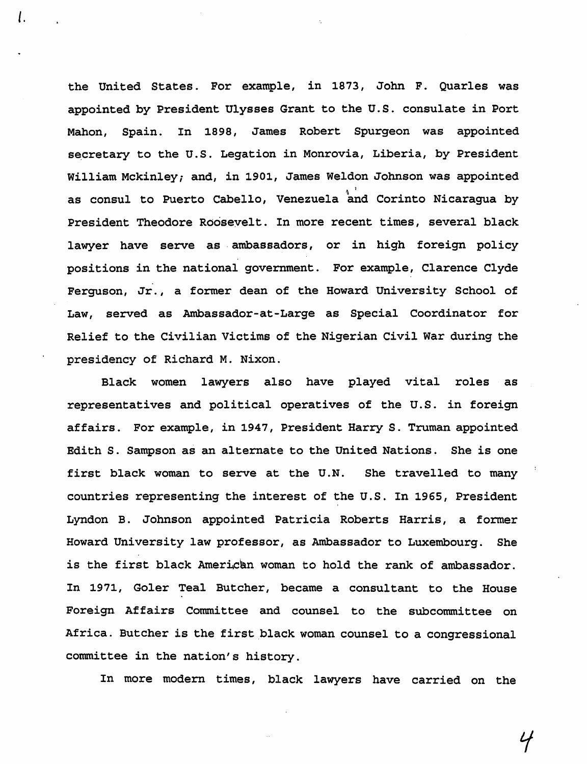the United States. For example, in 1873, John F. Quarles was appointed by President Ulysses Grant to the U.S. consulate in Port Mahon, Spain. In 1898, James Robert Spurgeon was appointed secretary to the U.S. Legation in Monrovia, Liberia, by President William Mckinley; and, in 1901, James Weldon Johnson was appointed as consul to Puerto Cabello, Venezuela and Corinto Nicaragua by President Theodore Roosevelt. In more recent times, several black lawyer have serve as ambassadors, or in high foreign policy positions in the national government. For example, Clarence Clyde Ferguson, Jr., a former dean of the Howard University School of Law, served as Ambassador-at -Large as Special Coordinator for Relief to the Civilian Victims of the Nigerian Civil War during the presidency of Richard M. Nixon.

l.

Black women lawyers also have played vital roles as representatives and political operatives of the U.S. in foreign affairs. For example, in 1947, President Harry S. Truman appointed Edith S. Sampson as an alternate to the United Nations. She is one first black woman to serve at the U.N. She travelled to many countries representing the interest of the U.S. In 1965, President Lyndon B. Johnson appointed Patricia Roberts Harris, a former Howard University law professor, as Ambassador to Luxembourg. She is the first black American woman to hold the rank of ambassador. In 1971, Goler Teal Butcher, became a consultant to the House Foreign Affairs Committee and counsel to the subcommittee on Africa. Butcher is the first black woman counsel to a congressional committee in the nation's history.

In more modern times, black lawyers have carried on the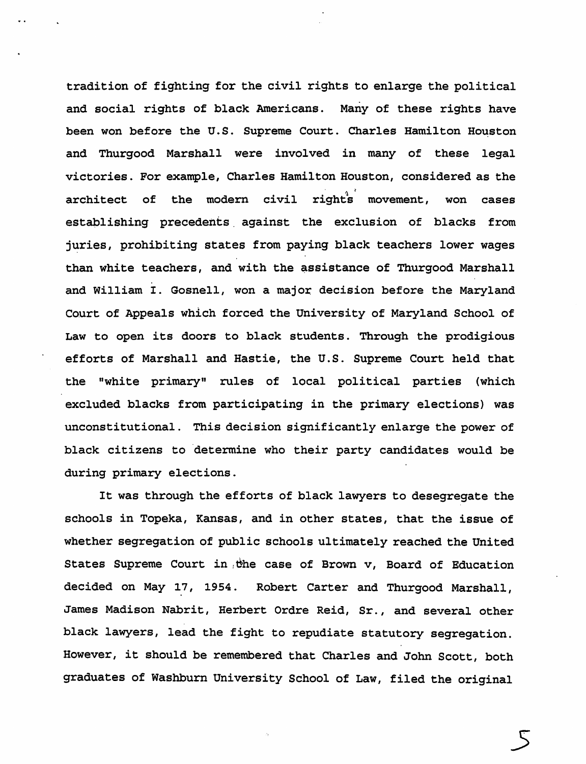tradition of fighting for the civil rights to enlarge the political and social rights of black Americans. Many of these rights have been won before the U.S. Supreme Court. Charles Hamilton Houston and Thurgood Marshall were involved in many of these legal victories. For example, Charles Hamilton Houston, considered as the architect of the modern civil right<sup>3</sup> movement, won cases establishing precedents against the exclusion of blacks from juries, prohibiting states from paying black teachers lower wages than white teachers, and with the assistance of Thurgood Marshall and William I. Gosnell, won a major decision before the Maryland Court of Appeals which forced the University of Maryland School of Law to open its doors to black students. Through the prodigious efforts of Marshall and Hastie, the U.S. Supreme Court held that the "white primary" rules of local political parties (which excluded blacks from participating in the primary elections) was unconstitutional. This decision significantly enlarge the power of black citizens to determine who their party candidates would be during primary elections.

It was through the efforts of black lawyers to desegregate the schools in Topeka, Kansas, and in other states, that the issue of whether segregation of public schools ultimately reached the United States Supreme Court in the case of Brown v, Board of Education decided on May 17, 1954. Robert Carter and Thurgood Marshall, James Madison Nabrit, Herbert Ordre Reid, Sr., and several other black lawyers, lead the fight to repudiate statutory segregation. However, it should be remembered that Charles and John Scott, both graduates of Washburn University School of Law, filed the original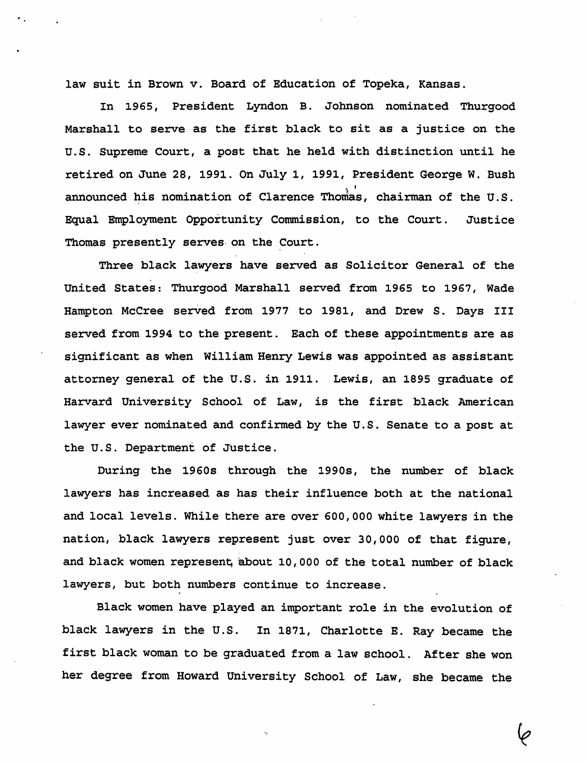law suit in Brown v. Board of Education of Topeka, Kansas.

In 1965, President Lyndon B. Johnson nominated Thurgood Marshall to serve as the first black to sit as a justice on the U.S. Supreme Court, a post that he held with distinction until he retired on June 28, 1991. On July 1, 1991, President George W. Bush announced his nomination of Clarence Thomas, chairman of the U.S. Equal Employment Opportunity Commission, to the Court. Justice Thomas presently serves on the Court.

Three black lawyers have served as Solicitor General of the United States: Thurgood Marshall served from 1965 to 1967, Wade Hampton McCree served from 1977 to 1981, and Drew S. Days III served from 1994 to the present. Each of these appointments are as significant as when William Henry Lewis was appointed as assistant attorney general of the U.S. in 1911. Lewis, an 1895 graduate of Harvard University School of Law, is the first black American lawyer ever nominated and confirmed by the U.S. Senate to a post at the U.S. Department of Justice.

During the 1960s through the 1990s, the number of black lawyers has increased as has their influence both at the national and local levels. While there are over 600, 000 white lawyers in the nation, black lawyers represent just over 30,000 of that figure, and black women represent about 10,000 of the total number of black lawyers, but both numbers continue to increase.

Black women have played an important role in the evolution of black lawyers in the U.S. In 1871, Charlotte E. Ray became the first black woman to be graduated from a law school. After she won her degree from Howard University School of Law, she became the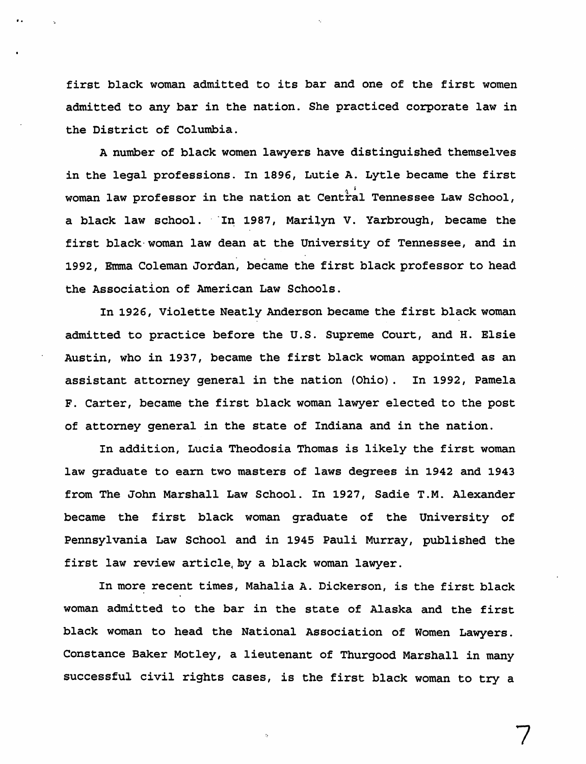first black woman admitted to its bar and one of the first women admitted to any bar in the nation. She practiced corporate law in the District of Columbia.

A number of black women lawyers have distinguished themselves in the legal professions. In 1896, Lutie A. Lytle became the first woman law professor in the nation at Central Tennessee Law School, a black law school. In 1987, Marilyn V. Yarbrough, became the first black-woman law dean at the University of Tennessee, and in 1992, Emma Coleman Jordan, became the first black professor to head the Association of American Law Schools.

In 1926, Violette Neatly Anderson became the first black woman admitted to practice before the U.S. Supreme Court, and H. Elsie Austin, who in 1937, became the first black woman appointed as an assistant attorney general in the nation (Ohio). In 1992, Pamela F. Carter, became the first black woman lawyer elected to the post of attorney general in the state of Indiana and in the nation.

In addition, Lucia Theodosia Thomas is likely the first woman law graduate to earn two masters of laws degrees in 1942 and 1943 from The John Marshall Law School. In 1927, Sadie T.M. Alexander became the first black woman graduate of the University of Pennsylvania Law School and in 1945 Pauli Murray, published the first law review article, by a black woman lawyer.

In more recent times, Mahalia A. Dickerson, is the first black woman admitted to the bar in the state of Alaska and the first black woman to head the National Association of Women Lawyers. Constance Baker Motley, a lieutenant of Thurgood Marshall in many successful civil rights cases, is the first black woman to try a

7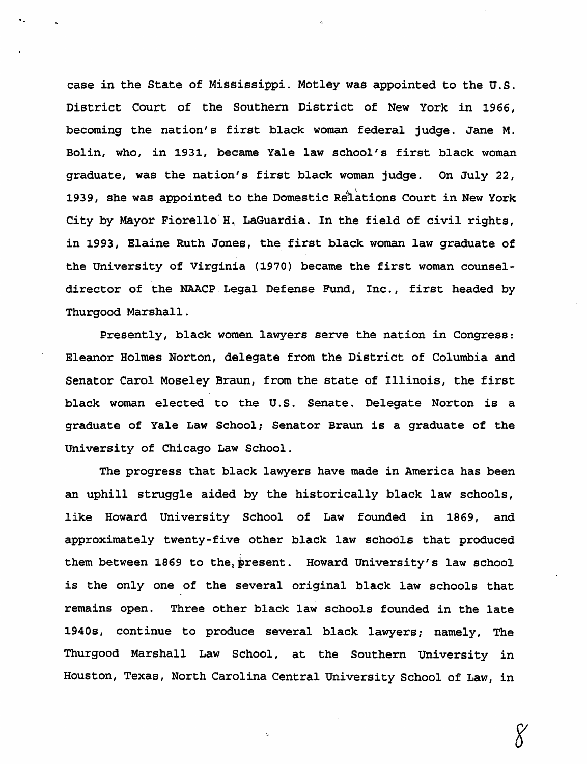case in the State of Mississippi. Motley was appointed to the U.S. District Court of the Southern District of New York in 1966, becoming the nation's first black woman federal judge. Jane M. Bolin, who, in 1931, became Yale law school's first black woman graduate, was the nation's first black woman judge. On July 22, 1939, she was appointed to the Domestic Relations Court in New York City by Mayor Fiorello H. LaGuardia. In the field of civil rights, in 1993, Elaine Ruth Jones, the, first black woman law graduate of the University of Virginia (1970) became the first woman counseldirector of the NAACP Legal Defense Fund, Inc., first headed by Thurgood Marshall.

Presently, black women lawyers serve the nation in Congress: Eleanor Holmes Norton, delegate from the District of Columbia and Senator Carol Moseley Braun, from the state of Illinois, the first black woman elected to the U.S. Senate. Delegate Norton is a graduate of Yale Law School; Senator Braun is a graduate of the University of Chicago Law School.

The progress that black lawyers have made in America has been an uphill struggle aided by the historically black law schools, like Howard University School of Law founded in 1869, and approximately twenty-five other black law schools that produced them between 1869 to the, present. Howard University's law school is the only one of the several original black law schools that remains open. Three other black law schools founded in the late 1940s, continue to produce several black lawyers; namely, The Thurgood Marshall Law School, at the Southern University in Houston, Texas, North Carolina Central University School of Law, in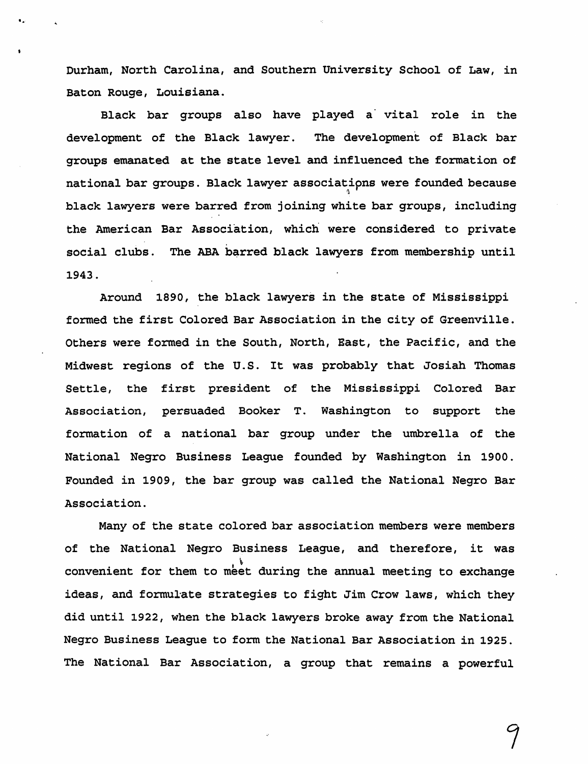Durham, North Carolina, and Southern University School of Law, in Baton Rouge, Louisiana.

e.

Black bar groups also have played a vital role in the development of the Black lawyer. The development of Black bar groups emanated at the state level and influenced the formation of national bar groups. Black lawyer associatipns were founded because '1 black lawyers were barred from joining white bar groups, including the American Bar Association, which were considered to private social clubs. The ABA barred black lawyers from membership until 1943.

Around 1890, the black lawyers in the state of Mississippi formed the first Colored Bar Association in the city of Greenville. Others were formed in the South, North, East, the Pacific, and the Midwest regions of the U.S. It was probably that Josiah Thomas Settle, the first president of the Mississippi Colored Bar Association, persuaded Booker T. Washington to support the formation of a national bar group under the umbrella of the National Negro Business League founded by Washington in 1900. Founded in 1909, the bar group was called the National Negro Bar Association.

Many of the state colored bar association members were members of the National Negro Business League, and therefore, it was<br>convenient for them to meet during the annual meeting to exchange ideas, and formul'ate strategies to fight Jim Crow laws, which they did until 1922, when the black lawyers broke away from the National Negro Business League to form the National Bar Association in 1925. The National Bar Association, a group that remains a powerful